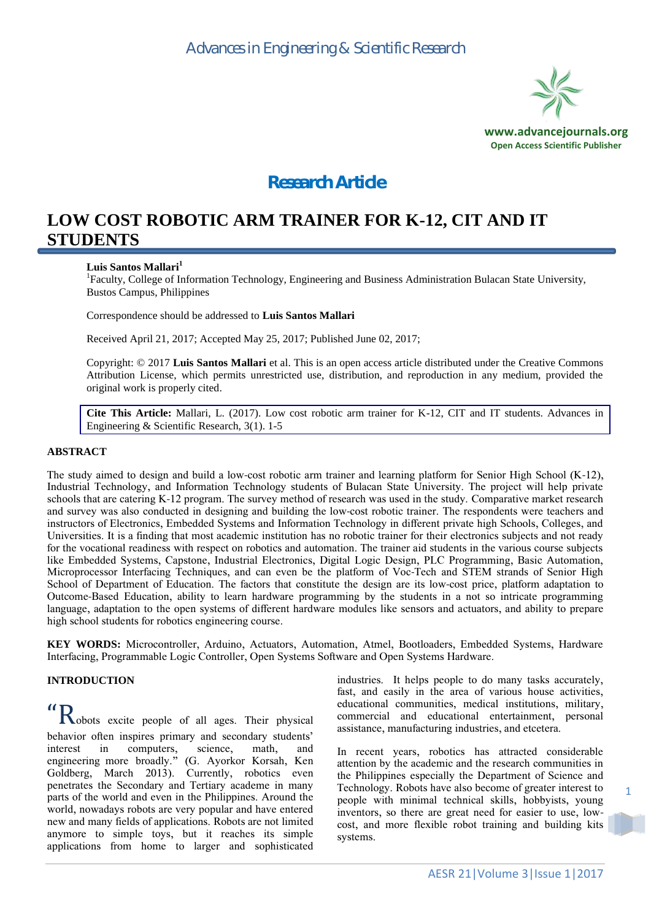

# *Research Article*

## **LOW COST ROBOTIC ARM TRAINER FOR K-12, CIT AND IT STUDENTS**

#### **Luis Santos Mallari<sup>1</sup>**

<sup>1</sup>Faculty, College of Information Technology, Engineering and Business Administration Bulacan State University, Bustos Campus, Philippines

Correspondence should be addressed to **Luis Santos Mallari**

Received April 21, 2017; Accepted May 25, 2017; Published June 02, 2017;

Copyright: © 2017 **Luis Santos Mallari** et al. This is an open access article distributed under the Creative Commons Attribution License, which permits unrestricted use, distribution, and reproduction in any medium, provided the original work is properly cited.

**Cite This Article:** Mallari, L. (2017). Low cost robotic arm trainer for K-12, CIT and IT students. Advances in Engineering & Scientific Research, 3(1). 1-5

#### **ABSTRACT**

The study aimed to design and build a low-cost robotic arm trainer and learning platform for Senior High School (K-12), Industrial Technology, and Information Technology students of Bulacan State University. The project will help private schools that are catering K-12 program. The survey method of research was used in the study. Comparative market research and survey was also conducted in designing and building the low-cost robotic trainer. The respondents were teachers and instructors of Electronics, Embedded Systems and Information Technology in different private high Schools, Colleges, and Universities. It is a finding that most academic institution has no robotic trainer for their electronics subjects and not ready for the vocational readiness with respect on robotics and automation. The trainer aid students in the various course subjects like Embedded Systems, Capstone, Industrial Electronics, Digital Logic Design, PLC Programming, Basic Automation, Microprocessor Interfacing Techniques, and can even be the platform of Voc-Tech and STEM strands of Senior High School of Department of Education. The factors that constitute the design are its low-cost price, platform adaptation to Outcome-Based Education, ability to learn hardware programming by the students in a not so intricate programming language, adaptation to the open systems of different hardware modules like sensors and actuators, and ability to prepare high school students for robotics engineering course.

**KEY WORDS:** Microcontroller, Arduino, Actuators, Automation, Atmel, Bootloaders, Embedded Systems, Hardware Interfacing, Programmable Logic Controller, Open Systems Software and Open Systems Hardware.

#### **INTRODUCTION**

"Robots excite people of all ages. Their physical behavior often inspires primary and secondary students' interest in computers, science, math, and engineering more broadly." (G. Ayorkor Korsah, Ken Goldberg, March 2013). Currently, robotics even penetrates the Secondary and Tertiary academe in many parts of the world and even in the Philippines. Around the world, nowadays robots are very popular and have entered new and many fields of applications. Robots are not limited anymore to simple toys, but it reaches its simple applications from home to larger and sophisticated

industries. It helps people to do many tasks accurately, fast, and easily in the area of various house activities, educational communities, medical institutions, military, commercial and educational entertainment, personal assistance, manufacturing industries, and etcetera.

In recent years, robotics has attracted considerable attention by the academic and the research communities in the Philippines especially the Department of Science and Technology. Robots have also become of greater interest to people with minimal technical skills, hobbyists, young inventors, so there are great need for easier to use, lowcost, and more flexible robot training and building kits systems.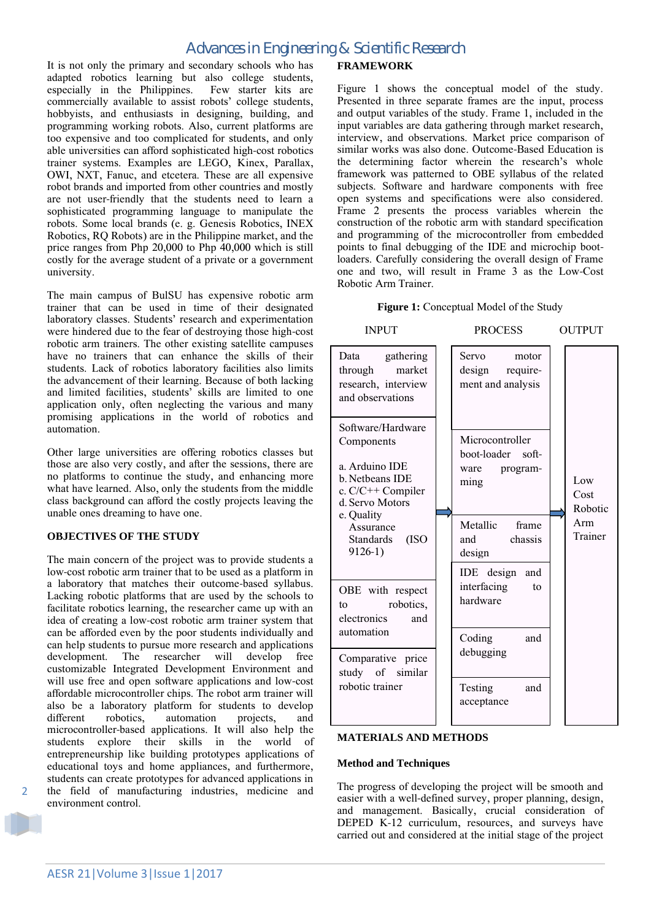## *Advances in Engineering & Scientific Research*

It is not only the primary and secondary schools who has adapted robotics learning but also college students, especially in the Philippines. Few starter kits are commercially available to assist robots' college students, hobbyists, and enthusiasts in designing, building, and programming working robots. Also, current platforms are too expensive and too complicated for students, and only able universities can afford sophisticated high-cost robotics trainer systems. Examples are LEGO, Kinex, Parallax, OWI, NXT, Fanuc, and etcetera. These are all expensive robot brands and imported from other countries and mostly are not user-friendly that the students need to learn a sophisticated programming language to manipulate the robots. Some local brands (e. g. Genesis Robotics, INEX Robotics, RQ Robots) are in the Philippine market, and the price ranges from Php 20,000 to Php 40,000 which is still costly for the average student of a private or a government university.

The main campus of BulSU has expensive robotic arm trainer that can be used in time of their designated laboratory classes. Students' research and experimentation were hindered due to the fear of destroying those high-cost robotic arm trainers. The other existing satellite campuses have no trainers that can enhance the skills of their students. Lack of robotics laboratory facilities also limits the advancement of their learning. Because of both lacking and limited facilities, students' skills are limited to one application only, often neglecting the various and many promising applications in the world of robotics and automation.

Other large universities are offering robotics classes but those are also very costly, and after the sessions, there are no platforms to continue the study, and enhancing more what have learned. Also, only the students from the middle class background can afford the costly projects leaving the unable ones dreaming to have one.

#### **OBJECTIVES OF THE STUDY**

The main concern of the project was to provide students a low-cost robotic arm trainer that to be used as a platform in a laboratory that matches their outcome-based syllabus. Lacking robotic platforms that are used by the schools to facilitate robotics learning, the researcher came up with an idea of creating a low-cost robotic arm trainer system that can be afforded even by the poor students individually and can help students to pursue more research and applications development. The researcher will develop free customizable Integrated Development Environment and will use free and open software applications and low-cost affordable microcontroller chips. The robot arm trainer will also be a laboratory platform for students to develop different robotics, automation projects, and microcontroller-based applications. It will also help the students explore their skills in the world of entrepreneurship like building prototypes applications of educational toys and home appliances, and furthermore, students can create prototypes for advanced applications in the field of manufacturing industries, medicine and environment control.

#### **FRAMEWORK**

Figure 1 shows the conceptual model of the study. Presented in three separate frames are the input, process and output variables of the study. Frame 1, included in the input variables are data gathering through market research, interview, and observations. Market price comparison of similar works was also done. Outcome-Based Education is the determining factor wherein the research's whole framework was patterned to OBE syllabus of the related subjects. Software and hardware components with free open systems and specifications were also considered. Frame 2 presents the process variables wherein the construction of the robotic arm with standard specification and programming of the microcontroller from embedded points to final debugging of the IDE and microchip bootloaders. Carefully considering the overall design of Frame one and two, will result in Frame 3 as the Low-Cost Robotic Arm Trainer.

#### **Figure 1:** Conceptual Model of the Study

INPUT PROCESS OUTPUT

| Data gathering<br>through<br>market<br>research, interview<br>and observations                                                                                           | <b>Servo</b><br>motor<br>design require-<br>ment and analysis |                        |
|--------------------------------------------------------------------------------------------------------------------------------------------------------------------------|---------------------------------------------------------------|------------------------|
| Software/Hardware<br>Components<br>a. Arduino IDE<br>b. Netheans IDE<br>c. $C/C++$ Compiler<br>d. Servo Motors<br>e. Quality<br>Assurance<br>Standards (ISO<br>$9126-1)$ | Microcontroller<br>boot-loader soft-<br>ware program-<br>ming | Low<br>Cost<br>Robotic |
|                                                                                                                                                                          | Metallic frame<br>and chassis<br>design                       | Arm<br>Trainer         |
| OBE with respect<br>robotics,<br>to<br>electronics<br>and                                                                                                                | IDE design and<br>interfacing<br>to<br>hardware               |                        |
| automation<br>Comparative price                                                                                                                                          | Coding<br>and<br>debugging                                    |                        |
| study of similar<br>robotic trainer                                                                                                                                      | Testing<br>and<br>acceptance                                  |                        |
|                                                                                                                                                                          |                                                               |                        |

#### **MATERIALS AND METHODS**

#### **Method and Techniques**

The progress of developing the project will be smooth and easier with a well-defined survey, proper planning, design, and management. Basically, crucial consideration of DEPED K-12 curriculum, resources, and surveys have carried out and considered at the initial stage of the project

2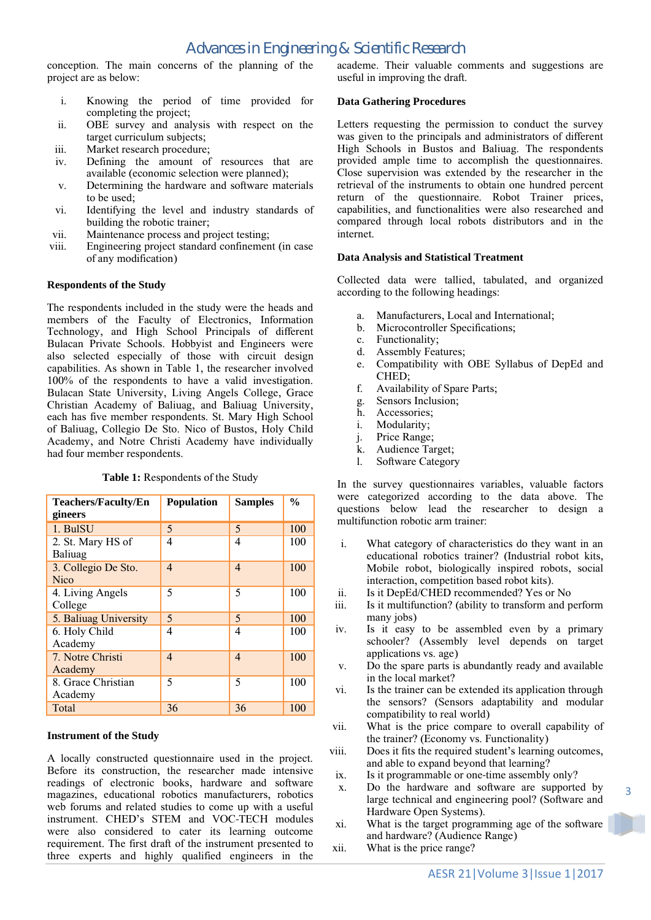conception. The main concerns of the planning of the project are as below:

- i. Knowing the period of time provided for completing the project;
- ii. OBE survey and analysis with respect on the target curriculum subjects;
- iii. Market research procedure;
- iv. Defining the amount of resources that are available (economic selection were planned);
- v. Determining the hardware and software materials to be used;
- vi. Identifying the level and industry standards of building the robotic trainer;
- vii. Maintenance process and project testing;
- viii. Engineering project standard confinement (in case of any modification)

#### **Respondents of the Study**

The respondents included in the study were the heads and members of the Faculty of Electronics, Information Technology, and High School Principals of different Bulacan Private Schools. Hobbyist and Engineers were also selected especially of those with circuit design capabilities. As shown in Table 1, the researcher involved 100% of the respondents to have a valid investigation. Bulacan State University, Living Angels College, Grace Christian Academy of Baliuag, and Baliuag University, each has five member respondents. St. Mary High School of Baliuag, Collegio De Sto. Nico of Bustos, Holy Child Academy, and Notre Christi Academy have individually had four member respondents.

| <b>Teachers/Faculty/En</b>         | <b>Population</b> | <b>Samples</b> | $\frac{6}{9}$ |
|------------------------------------|-------------------|----------------|---------------|
| gineers                            |                   |                |               |
| 1. BulSU                           | 5                 | 5              | 100           |
| 2. St. Mary HS of<br>Baliuag       | 4                 | 4              | 100           |
| 3. Collegio De Sto.<br><b>Nico</b> | 4                 | $\overline{4}$ | 100           |
| 4. Living Angels<br>College        | 5                 | 5              | 100           |
| 5. Baliuag University              | 5                 | 5              | 100           |
| 6. Holy Child<br>Academy           | 4                 | 4              | 100           |
| 7. Notre Christi<br>Academy        | 4                 | $\overline{4}$ | 100           |
| 8. Grace Christian<br>Academy      | 5                 | 5              | 100           |
| Total                              | 36                | 36             | 100           |

#### **Table 1:** Respondents of the Study

#### **Instrument of the Study**

A locally constructed questionnaire used in the project. Before its construction, the researcher made intensive readings of electronic books, hardware and software magazines, educational robotics manufacturers, robotics web forums and related studies to come up with a useful instrument. CHED's STEM and VOC-TECH modules were also considered to cater its learning outcome requirement. The first draft of the instrument presented to three experts and highly qualified engineers in the academe. Their valuable comments and suggestions are useful in improving the draft.

### **Data Gathering Procedures**

Letters requesting the permission to conduct the survey was given to the principals and administrators of different High Schools in Bustos and Baliuag. The respondents provided ample time to accomplish the questionnaires. Close supervision was extended by the researcher in the retrieval of the instruments to obtain one hundred percent return of the questionnaire. Robot Trainer prices, capabilities, and functionalities were also researched and compared through local robots distributors and in the internet.

#### **Data Analysis and Statistical Treatment**

Collected data were tallied, tabulated, and organized according to the following headings:

- a. Manufacturers, Local and International;
- b. Microcontroller Specifications;
- c. Functionality;
- d. Assembly Features;
- e. Compatibility with OBE Syllabus of DepEd and CHED;
- f. Availability of Spare Parts;
- g. Sensors Inclusion;
- h. Accessories;
- i. Modularity;
- j. Price Range;
- k. Audience Target;
- l. Software Category

In the survey questionnaires variables, valuable factors were categorized according to the data above. The questions below lead the researcher to design a multifunction robotic arm trainer:

- i. What category of characteristics do they want in an educational robotics trainer? (Industrial robot kits, Mobile robot, biologically inspired robots, social interaction, competition based robot kits).
- ii. Is it DepEd/CHED recommended? Yes or No
- iii. Is it multifunction? (ability to transform and perform many jobs)
- iv. Is it easy to be assembled even by a primary schooler? (Assembly level depends on target applications vs. age)
- v. Do the spare parts is abundantly ready and available in the local market?
- vi. Is the trainer can be extended its application through the sensors? (Sensors adaptability and modular compatibility to real world)
- vii. What is the price compare to overall capability of the trainer? (Economy vs. Functionality)
- viii. Does it fits the required student's learning outcomes, and able to expand beyond that learning?
- ix. Is it programmable or one-time assembly only?
- x. Do the hardware and software are supported by large technical and engineering pool? (Software and Hardware Open Systems).
- xi. What is the target programming age of the software and hardware? (Audience Range)
- xii. What is the price range?

3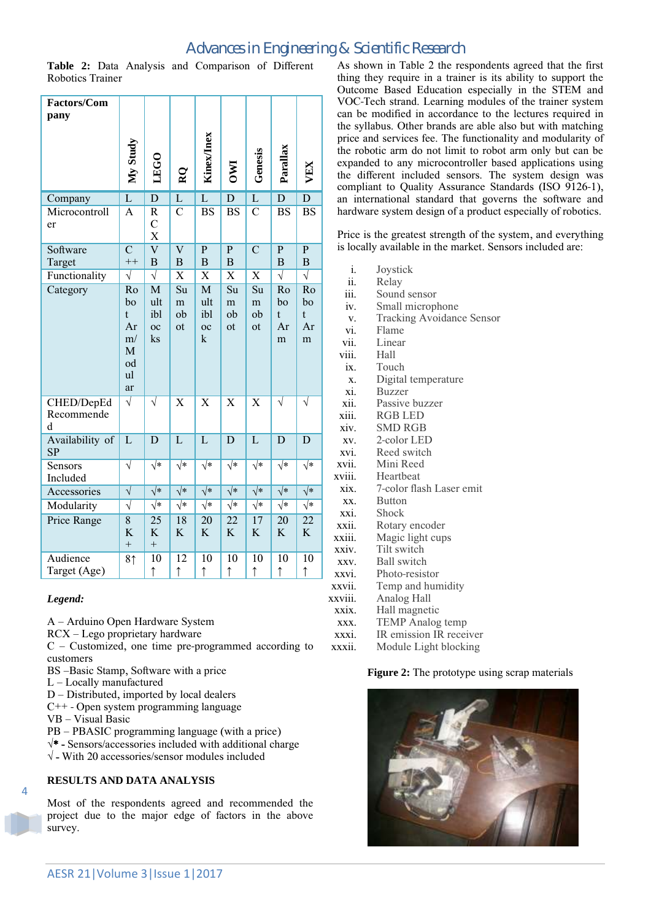## *Advances in Engineering & Scientific Research*

**Table 2:** Data Analysis and Comparison of Different Robotics Trainer

| Factors/Com<br>pany           | My Study                                                              | LEGO                                 | $\mathbf{R}$                     | Kinex/Inex                                                          | $\overline{\text{N}}$         | Genesis                                   | Parallax                      | VEX                           |
|-------------------------------|-----------------------------------------------------------------------|--------------------------------------|----------------------------------|---------------------------------------------------------------------|-------------------------------|-------------------------------------------|-------------------------------|-------------------------------|
| Company                       | $\mathbf L$                                                           | $\overline{D}$                       | L                                | $\overline{L}$                                                      | $\mathbf D$                   | $\mathbf L$                               | $\overline{D}$                | $\mathbf{D}$                  |
| Microcontroll<br>er           | A                                                                     | R<br>$\mathbf C$<br>X                | $\overline{C}$                   | <b>BS</b>                                                           | <b>BS</b>                     | $\overline{C}$                            | <b>BS</b>                     | <b>BS</b>                     |
| Software                      | $\overline{C}$                                                        | $\overline{\text{V}}$                | $\overline{\text{V}}$            | $\overline{P}$                                                      | $\overline{P}$                | $\overline{C}$                            | $\overline{\mathbf{P}}$       | $\overline{P}$                |
| Target                        | $++$                                                                  | B                                    | $\, {\bf B}$                     | $\mathbf B$                                                         | $\overline{B}$                |                                           | $\mathbf B$                   | $\, {\bf B}$                  |
| Functionality                 | $\overline{\sqrt{2}}$                                                 | $\overline{\sqrt{} }$                | $\overline{\text{X}}$            | $\overline{\text{X}}$                                               | $\overline{\text{X}}$         | $\overline{\text{X}}$                     | $\overline{\sqrt{} }$         | $\overline{\sqrt{} }$         |
| Category                      | Ro<br>bo<br>$\mathbf{t}$<br>Ar<br>m/<br>$\mathbf M$<br>od<br>ul<br>ar | M<br>ult<br>ibl<br>$_{\rm oc}$<br>ks | $\overline{Su}$<br>m<br>ob<br>ot | $\overline{\mathbf{M}}$<br>ult<br>ibl<br>$_{\rm oc}$<br>$\mathbf k$ | Su<br>m<br>ob<br>ot           | $\overline{\mathrm{Su}}$<br>m<br>ob<br>ot | Ro<br>bo<br>t<br>Ar<br>m      | Ro<br>bo<br>t<br>Ar<br>m      |
| CHED/DepEd<br>Recommende<br>d | $\overline{\sqrt{} }$                                                 | $\overline{\sqrt{} }$                | $\overline{\text{X}}$            | $\overline{\text{X}}$                                               | $\overline{\text{X}}$         | $\overline{\text{X}}$                     | $\sqrt{}$                     | $\overline{\sqrt{} }$         |
| Availability of<br>SP         | $\overline{L}$                                                        | $\overline{D}$                       | $\overline{L}$                   | $\overline{L}$                                                      | $\overline{D}$                | $\overline{L}$                            | $\overline{D}$                | $\overline{D}$                |
| Sensors<br>Included           | $\overline{\sqrt{} }$                                                 | $\overline{\sqrt*}$                  | $\overline{\sqrt*}$              | $\overline{\sqrt*}$                                                 | $\overline{\sqrt*}$           | $\overline{\sqrt*}$                       | $\overline{\sqrt{*}}$         | $\overline{\sqrt{*}}$         |
| Accessories                   | $\overline{\sqrt{} }$                                                 | $\sqrt{*}$                           | $\sqrt{*}$                       | $\sqrt{*}$                                                          | $\sqrt{*}$                    | $\overline{\sqrt*}$                       | $\sqrt{*}$                    | $\sqrt{*}$                    |
| Modularity                    | $\overline{\sqrt{2}}$                                                 | $\overline{\sqrt{*}}$                | $\overline{\sqrt{*}}$            | $\overline{\sqrt{*}}$                                               | $\overline{\sqrt{*}}$         | $\overline{\sqrt*}$                       | $\overline{\sqrt{*}}$         | $\overline{\sqrt{*}}$         |
| <b>Price Range</b>            | $\overline{8}$<br>K<br>$\qquad \qquad +$                              | $\overline{25}$<br>K<br>$^{+}$       | 18<br>$\bf K$                    | $\overline{20}$<br>K                                                | $\overline{22}$<br>K          | 17<br>K                                   | $\overline{20}$<br>K          | $\overline{22}$<br>K          |
| Audience<br>Target (Age)      | 81                                                                    | 10<br>$\uparrow$                     | $\overline{12}$<br>$\uparrow$    | $\overline{10}$<br>$\uparrow$                                       | $\overline{10}$<br>$\uparrow$ | $\overline{10}$<br>$\uparrow$             | $\overline{10}$<br>$\uparrow$ | $\overline{10}$<br>$\uparrow$ |

#### *Legend:*

A – Arduino Open Hardware System

RCX – Lego proprietary hardware

C – Customized, one time pre-programmed according to customers

- BS –Basic Stamp, Software with a price
- L Locally manufactured
- D Distributed, imported by local dealers
- C++ Open system programming language
- VB Visual Basic

 $\overline{A}$ 

- PB PBASIC programming language (with a price)
- **√**\* Sensors/accessories included with additional charge
- **√** With 20 accessories/sensor modules included

#### **RESULTS AND DATA ANALYSIS**

Most of the respondents agreed and recommended the project due to the major edge of factors in the above survey.

As shown in Table 2 the respondents agreed that the first thing they require in a trainer is its ability to support the Outcome Based Education especially in the STEM and VOC-Tech strand. Learning modules of the trainer system can be modified in accordance to the lectures required in the syllabus. Other brands are able also but with matching price and services fee. The functionality and modularity of the robotic arm do not limit to robot arm only but can be expanded to any microcontroller based applications using the different included sensors. The system design was compliant to Quality Assurance Standards (ISO 9126-1), an international standard that governs the software and hardware system design of a product especially of robotics.

Price is the greatest strength of the system, and everything is locally available in the market. Sensors included are:

| i.      | Joystick                         |
|---------|----------------------------------|
| ii.     | Relay                            |
| iii.    | Sound sensor                     |
| iv.     | Small microphone                 |
| V.      | <b>Tracking Avoidance Sensor</b> |
| vi.     | Flame                            |
| vii.    | Linear                           |
| viii.   | Hall                             |
| ix.     | Touch                            |
| X.      | Digital temperature              |
| xi.     | <b>Buzzer</b>                    |
| xii.    | Passive buzzer                   |
| xiii.   | <b>RGB LED</b>                   |
| xiv.    | <b>SMD RGB</b>                   |
| XV.     | 2-color LED                      |
| xvi.    | Reed switch                      |
| xvii.   | Mini Reed                        |
| xviii.  | Heartheat                        |
| xix.    | 7-color flash Laser emit         |
| XX.     | <b>Button</b>                    |
| xxi.    | Shock                            |
| xxii.   | Rotary encoder                   |
| xxiii.  | Magic light cups                 |
| xxiv.   | Tilt switch                      |
| XXV.    | <b>Ball</b> switch               |
| xxvi.   | Photo-resistor                   |
| xxvii.  | Temp and humidity                |
| xxviii. | Analog Hall                      |
| xxix.   | Hall magnetic                    |
| XXX.    | <b>TEMP</b> Analog temp          |
| xxxi.   | IR emission IR receiver          |
| xxxii.  | Module Light blocking            |

**Figure 2:** The prototype using scrap materials